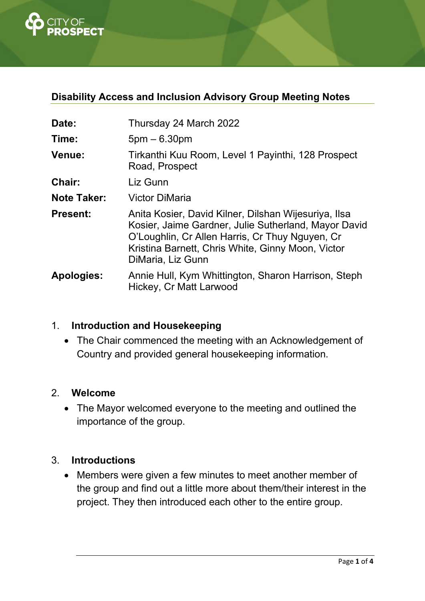

# **Disability Access and Inclusion Advisory Group Meeting Notes**

| Date:              | Thursday 24 March 2022                                                                                                                                                                                                                    |  |  |
|--------------------|-------------------------------------------------------------------------------------------------------------------------------------------------------------------------------------------------------------------------------------------|--|--|
| Time:              | $5pm - 6.30pm$                                                                                                                                                                                                                            |  |  |
| <b>Venue:</b>      | Tirkanthi Kuu Room, Level 1 Payinthi, 128 Prospect<br>Road, Prospect                                                                                                                                                                      |  |  |
| <b>Chair:</b>      | Liz Gunn                                                                                                                                                                                                                                  |  |  |
| <b>Note Taker:</b> | <b>Victor DiMaria</b>                                                                                                                                                                                                                     |  |  |
| <b>Present:</b>    | Anita Kosier, David Kilner, Dilshan Wijesuriya, Ilsa<br>Kosier, Jaime Gardner, Julie Sutherland, Mayor David<br>O'Loughlin, Cr Allen Harris, Cr Thuy Nguyen, Cr<br>Kristina Barnett, Chris White, Ginny Moon, Victor<br>DiMaria, Liz Gunn |  |  |
| <b>Apologies:</b>  | Annie Hull, Kym Whittington, Sharon Harrison, Steph<br>Hickey, Cr Matt Larwood                                                                                                                                                            |  |  |

### 1. **Introduction and Housekeeping**

• The Chair commenced the meeting with an Acknowledgement of Country and provided general housekeeping information.

#### 2. **Welcome**

 The Mayor welcomed everyone to the meeting and outlined the importance of the group.

#### 3. **Introductions**

 Members were given a few minutes to meet another member of the group and find out a little more about them/their interest in the project. They then introduced each other to the entire group.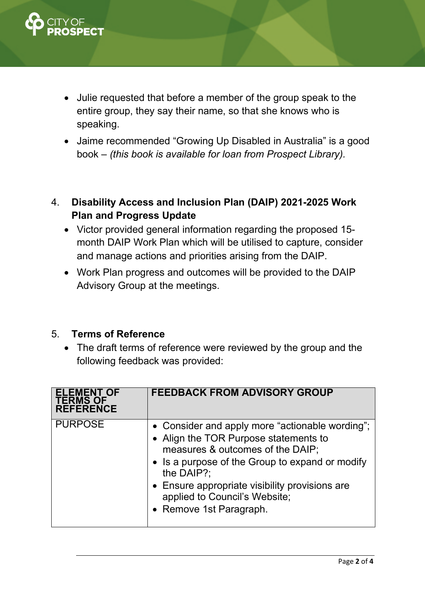

- Julie requested that before a member of the group speak to the entire group, they say their name, so that she knows who is speaking.
- Jaime recommended "Growing Up Disabled in Australia" is a good book – *(this book is available for loan from Prospect Library).*
- 4. **Disability Access and Inclusion Plan (DAIP) 2021-2025 Work Plan and Progress Update** 
	- Victor provided general information regarding the proposed 15 month DAIP Work Plan which will be utilised to capture, consider and manage actions and priorities arising from the DAIP.
	- Work Plan progress and outcomes will be provided to the DAIP Advisory Group at the meetings.

#### 5. **Terms of Reference**

 The draft terms of reference were reviewed by the group and the following feedback was provided:

| <b>ELEMENT OF</b><br><b>TERMS OF</b><br><b>REFERENCE</b> | <b>FEEDBACK FROM ADVISORY GROUP</b>                                                                                                                                                                                                                                                                         |
|----------------------------------------------------------|-------------------------------------------------------------------------------------------------------------------------------------------------------------------------------------------------------------------------------------------------------------------------------------------------------------|
| <b>PURPOSE</b>                                           | • Consider and apply more "actionable wording";<br>• Align the TOR Purpose statements to<br>measures & outcomes of the DAIP;<br>• Is a purpose of the Group to expand or modify<br>the DAIP?:<br>• Ensure appropriate visibility provisions are<br>applied to Council's Website;<br>• Remove 1st Paragraph. |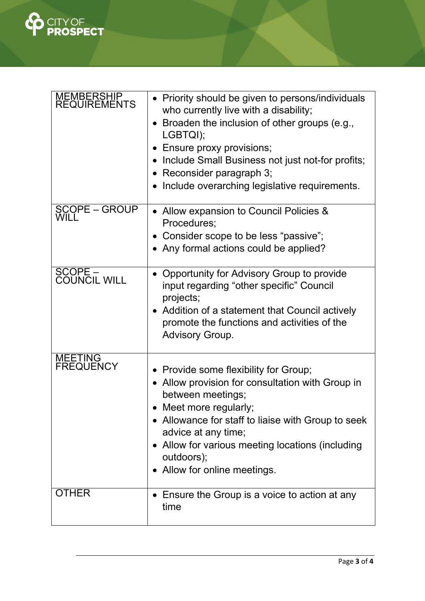

| MEMBERSHIP<br>REQUIREMENTS    | • Priority should be given to persons/individuals<br>who currently live with a disability;<br>Broaden the inclusion of other groups (e.g.,<br>LGBTQI);<br>• Ensure proxy provisions;<br>• Include Small Business not just not-for profits;<br>Reconsider paragraph 3;<br>Include overarching legislative requirements. |
|-------------------------------|------------------------------------------------------------------------------------------------------------------------------------------------------------------------------------------------------------------------------------------------------------------------------------------------------------------------|
| <b>SCOPE - GROUP</b><br>WILT. | • Allow expansion to Council Policies &<br>Procedures;<br>• Consider scope to be less "passive";<br>• Any formal actions could be applied?                                                                                                                                                                             |
| SCOPE -<br>COUNCIL WILL       | Opportunity for Advisory Group to provide<br>input regarding "other specific" Council<br>projects;<br>• Addition of a statement that Council actively<br>promote the functions and activities of the<br><b>Advisory Group.</b>                                                                                         |
| MEETING<br>FREQUENCY          | Provide some flexibility for Group;<br>Allow provision for consultation with Group in<br>between meetings;<br>Meet more regularly;<br>• Allowance for staff to liaise with Group to seek<br>advice at any time;<br>• Allow for various meeting locations (including<br>outdoors);<br>• Allow for online meetings.      |
| <b>OTHER</b>                  | • Ensure the Group is a voice to action at any<br>time                                                                                                                                                                                                                                                                 |